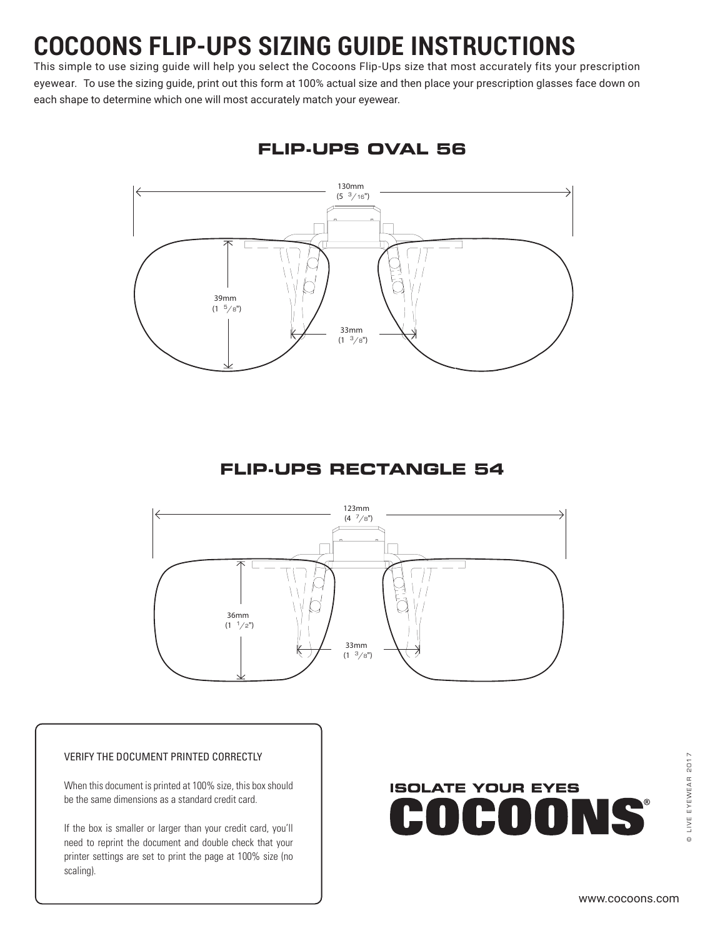# **COCOONS FLIP-UPS SIZING GUIDE INSTRUCTIONS**

This simple to use sizing guide will help you select the Cocoons Flip-Ups size that most accurately fits your prescription eyewear. To use the sizing guide, print out this form at 100% actual size and then place your prescription glasses face down on each shape to determine which one will most accurately match your eyewear.



**FLIP-UPS OVAL 56**

## **FLIP-UPS RECTANGLE 54**



#### VERIFY THE DOCUMENT PRINTED CORRECTLY

When this document is printed at 100% size, this box should be the same dimensions as a standard credit card.

If the box is smaller or larger than your credit card, you'll need to reprint the document and double check that your printer settings are set to print the page at 100% size (no scaling).